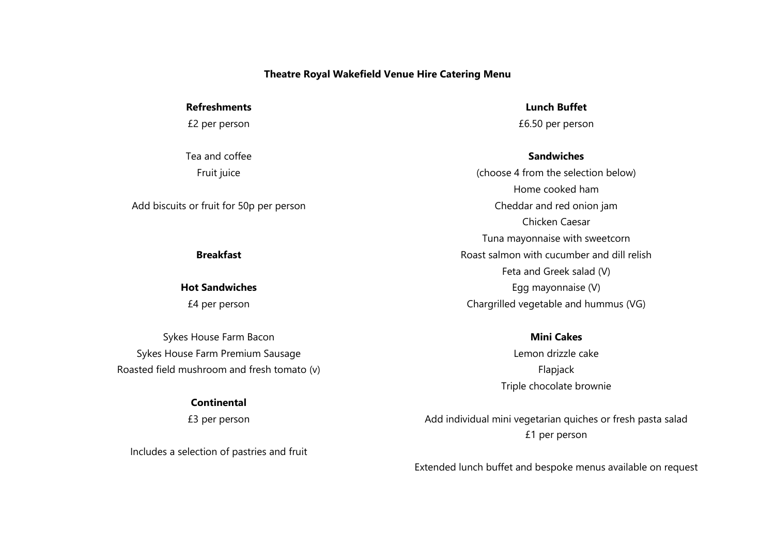### **Theatre Royal Wakefield Venue Hire Catering Menu**

**Refreshments**

£2 per person

Tea and coffee Fruit juice

Add biscuits or fruit for 50p per person

**Breakfast**

**Hot Sandwiches**

£4 per person

Sykes House Farm Bacon Sykes House Farm Premium Sausage Roasted field mushroom and fresh tomato (v)

## **Continental**

£3 per person

Includes a selection of pastries and fruit

**Lunch Buffet** £6.50 per person

**Sandwiches**

(choose 4 from the selection below) Home cooked ham Cheddar and red onion jam Chicken Caesar Tuna mayonnaise with sweetcorn Roast salmon with cucumber and dill relish Feta and Greek salad (V) Egg mayonnaise (V) Chargrilled vegetable and hummus (VG)

## **Mini Cakes**

Lemon drizzle cake Flapjack Triple chocolate brownie

Add individual mini vegetarian quiches or fresh pasta salad £1 per person

Extended lunch buffet and bespoke menus available on request